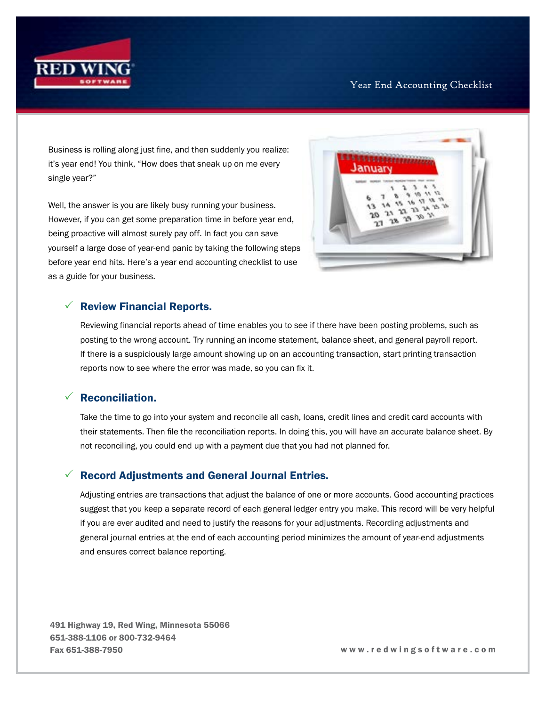

#### Year End Accounting Checklist

Business is rolling along just fine, and then suddenly you realize: it's year end! You think, "How does that sneak up on me every single year?"

Well, the answer is you are likely busy running your business. However, if you can get some preparation time in before year end, being proactive will almost surely pay off. In fact you can save yourself a large dose of year-end panic by taking the following steps before year end hits. Here's a year end accounting checklist to use as a guide for your business.

**Nuar** 

### $\sqrt{ }$  Review Financial Reports.

Reviewing financial reports ahead of time enables you to see if there have been posting problems, such as posting to the wrong account. Try running an income statement, balance sheet, and general payroll report. If there is a suspiciously large amount showing up on an accounting transaction, start printing transaction reports now to see where the error was made, so you can fix it.

# $\sqrt{ }$  Reconciliation.

Take the time to go into your system and reconcile all cash, loans, credit lines and credit card accounts with their statements. Then file the reconciliation reports. In doing this, you will have an accurate balance sheet. By not reconciling, you could end up with a payment due that you had not planned for.

#### 3 Record Adjustments and General Journal Entries.

Adjusting entries are transactions that adjust the balance of one or more accounts. Good accounting practices suggest that you keep a separate record of each general ledger entry you make. This record will be very helpful if you are ever audited and need to justify the reasons for your adjustments. Recording adjustments and general journal entries at the end of each accounting period minimizes the amount of year-end adjustments and ensures correct balance reporting.

491 Highway 19, Red Wing, Minnesota 55066 651-388-1106 or 800-732-9464 Fax 651-388-7950 w w w . r e d w i n g s o f t w a r e . c o m